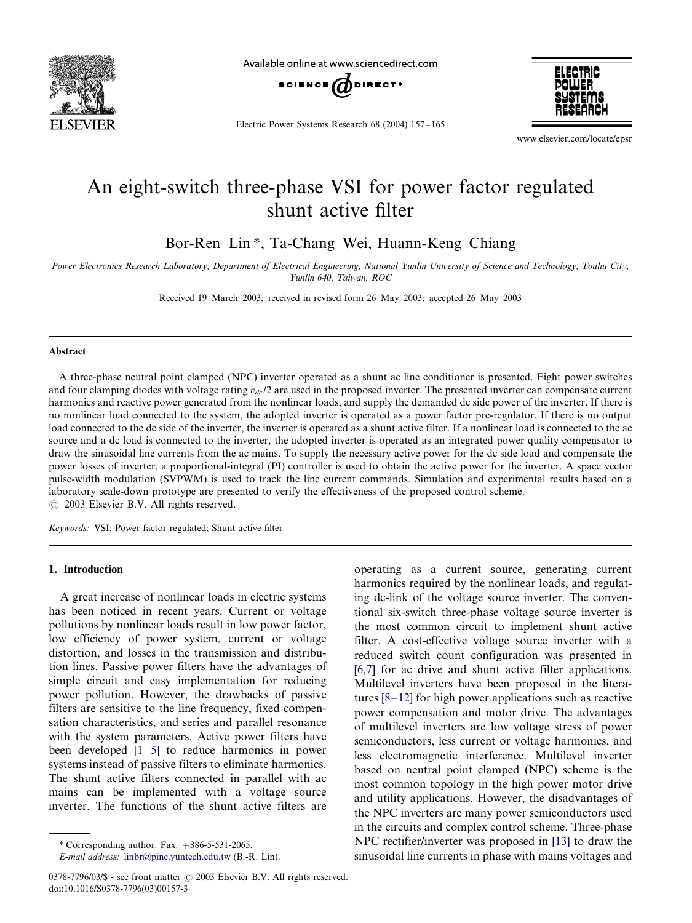

Available online at www sciencedirect com



Electric Power Systems Research  $68$  (2004) 157-165



www.elsevier.com/locate/epsr

## An eight-switch three-phase VSI for power factor regulated shunt active filter

Bor-Ren Lin \*, Ta-Chang Wei, Huann-Keng Chiang

Power Electronics Research Laboratory, Department of Electrical Engineering, National Yunlin University of Science and Technology, Touliu City, Yunlin 640, Taiwan, ROC

Received 19 March 2003; received in revised form 26 May 2003; accepted 26 May 2003

#### Abstract

A three-phase neutral point clamped (NPC) inverter operated as a shunt ac line conditioner is presented. Eight power switches and four clamping diodes with voltage rating  $v_{dc}$  /2 are used in the proposed inverter. The presented inverter can compensate current harmonics and reactive power generated from the nonlinear loads, and supply the demanded dc side power of the inverter. If there is no nonlinear load connected to the system, the adopted inverter is operated as a power factor pre-regulator. If there is no output load connected to the dc side of the inverter, the inverter is operated as a shunt active filter. If a nonlinear load is connected to the ac source and a dc load is connected to the inverter, the adopted inverter is operated as an integrated power quality compensator to draw the sinusoidal line currents from the ac mains. To supply the necessary active power for the dc side load and compensate the power losses of inverter, a proportional-integral (PI) controller is used to obtain the active power for the inverter. A space vector pulse-width modulation (SVPWM) is used to track the line current commands. Simulation and experimental results based on a laboratory scale-down prototype are presented to verify the effectiveness of the proposed control scheme.  $\odot$  2003 Elsevier B.V. All rights reserved.

Keywords: VSI; Power factor regulated; Shunt active filter

### 1. Introduction

A great increase of nonlinear loads in electric systems has been noticed in recent years. Current or voltage pollutions by nonlinear loads result in low power factor, low efficiency of power system, current or voltage distortion, and losses in the transmission and distribution lines. Passive power filters have the advantages of simple circuit and easy implementation for reducing power pollution. However, the drawbacks of passive filters are sensitive to the line frequency, fixed compensation characteristics, and series and parallel resonance with the system parameters. Active power filters have been developed  $[1-5]$  $[1-5]$  to reduce harmonics in power systems instead of passive filters to eliminate harmonics. The shunt active filters connected in parallel with ac mains can be implemented with a voltage source inverter. The functions of the shunt active filters are

E-mail address: [linbr@pine.yuntech.edu.tw](mailto:linbr@pine.yuntech.edu.tw) (B.-R. Lin).

operating as a current source, generating current harmonics required by the nonlinear loads, and regulating dc-link of the voltage source inverter. The conventional six-switch three-phase voltage source inverter is the most common circuit to implement shunt active filter. A cost-effective voltage source inverter with a reduced switch count configuration was presented in [\[6,7\]](#page--1-0) for ac drive and shunt active filter applications. Multilevel inverters have been proposed in the literatures  $[8-12]$  $[8-12]$  for high power applications such as reactive power compensation and motor drive. The advantages of multilevel inverters are low voltage stress of power semiconductors, less current or voltage harmonics, and less electromagnetic interference. Multilevel inverter based on neutral point clamped (NPC) scheme is the most common topology in the high power motor drive and utility applications. However, the disadvantages of the NPC inverters are many power semiconductors used in the circuits and complex control scheme. Three-phase NPC rectifier/inverter was proposed in [\[13\]](#page--1-0) to draw the sinusoidal line currents in phase with mains voltages and

 $*$  Corresponding author. Fax:  $+886-5-531-2065$ .

<sup>0378-7796/03/\$ -</sup> see front matter  $\odot$  2003 Elsevier B.V. All rights reserved. doi:10.1016/S0378-7796(03)00157-3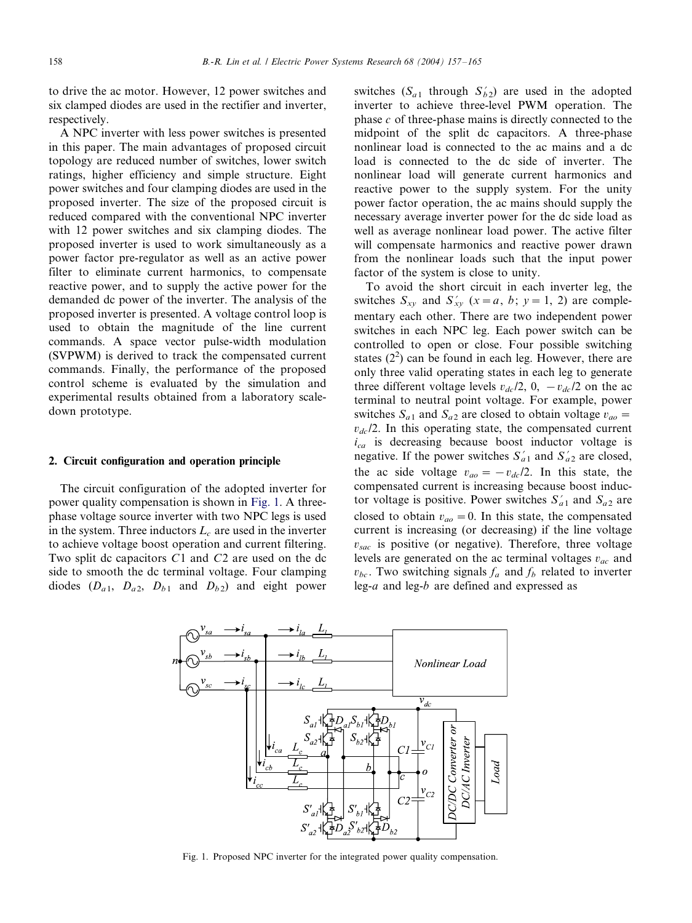to drive the ac motor. However, 12 power switches and six clamped diodes are used in the rectifier and inverter, respectively.

A NPC inverter with less power switches is presented in this paper. The main advantages of proposed circuit topology are reduced number of switches, lower switch ratings, higher efficiency and simple structure. Eight power switches and four clamping diodes are used in the proposed inverter. The size of the proposed circuit is reduced compared with the conventional NPC inverter with 12 power switches and six clamping diodes. The proposed inverter is used to work simultaneously as a power factor pre-regulator as well as an active power filter to eliminate current harmonics, to compensate reactive power, and to supply the active power for the demanded dc power of the inverter. The analysis of the proposed inverter is presented. A voltage control loop is used to obtain the magnitude of the line current commands. A space vector pulse-width modulation (SVPWM) is derived to track the compensated current commands. Finally, the performance of the proposed control scheme is evaluated by the simulation and experimental results obtained from a laboratory scaledown prototype.

### 2. Circuit configuration and operation principle

The circuit configuration of the adopted inverter for power quality compensation is shown in Fig. 1. A threephase voltage source inverter with two NPC legs is used in the system. Three inductors  $L_c$  are used in the inverter to achieve voltage boost operation and current filtering. Two split dc capacitors C1 and C2 are used on the dc side to smooth the dc terminal voltage. Four clamping diodes  $(D_{a_1}, D_{a_2}, D_{b_1}$  and  $D_{b_2}$  and eight power

switches  $(S_{a1}$  through  $S'_{b2}$  are used in the adopted inverter to achieve three-level PWM operation. The phase  $c$  of three-phase mains is directly connected to the midpoint of the split dc capacitors. A three-phase nonlinear load is connected to the ac mains and a dc load is connected to the dc side of inverter. The nonlinear load will generate current harmonics and reactive power to the supply system. For the unity power factor operation, the ac mains should supply the necessary average inverter power for the dc side load as well as average nonlinear load power. The active filter will compensate harmonics and reactive power drawn from the nonlinear loads such that the input power factor of the system is close to unity.

To avoid the short circuit in each inverter leg, the switches  $S_{xy}$  and  $S'_{xy}$  ( $x = a, b; y = 1, 2$ ) are complementary each other. There are two independent power switches in each NPC leg. Each power switch can be controlled to open or close. Four possible switching states  $(2^2)$  can be found in each leg. However, there are only three valid operating states in each leg to generate three different voltage levels  $v_{dc}$  /2, 0,  $-v_{dc}$  /2 on the ac terminal to neutral point voltage. For example, power switches  $S_{a1}$  and  $S_{a2}$  are closed to obtain voltage  $v_{ao}$  =  $v_{dc}$ /2. In this operating state, the compensated current  $i_{ca}$  is decreasing because boost inductor voltage is negative. If the power switches  $S'_{a1}$  and  $S'_{a2}$  are closed, the ac side voltage  $v_{aa} = -v_{dc}/2$ . In this state, the compensated current is increasing because boost inductor voltage is positive. Power switches  $S'_{a1}$  and  $S_{a2}$  are closed to obtain  $v_{ao} = 0$ . In this state, the compensated current is increasing (or decreasing) if the line voltage  $v_{sac}$  is positive (or negative). Therefore, three voltage levels are generated on the ac terminal voltages  $v_{ac}$  and  $v_{bc}$ . Two switching signals  $f_a$  and  $f_b$  related to inverter leg-a and leg-b are defined and expressed as



Fig. 1. Proposed NPC inverter for the integrated power quality compensation.